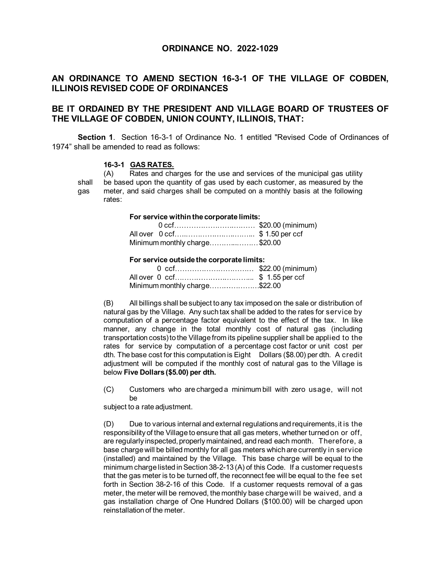### **ORDINANCE NO. 2022-1029**

## **AN ORDINANCE TO AMEND SECTION 16-3-1 OF THE VILLAGE OF COBDEN, ILLINOIS REVISED CODE OF ORDINANCES**

# **BE IT ORDAINED BY THE PRESIDENT AND VILLAGE BOARD OF TRUSTEES OF THE VILLAGE OF COBDEN, UNION COUNTY, ILLINOIS, THAT:**

 **Section 1**. Section 16-3-1 of Ordinance No. 1 entitled "Revised Code of Ordinances of 1974" shall be amended to read as follows:

### **16-3-1 GAS RATES.**

(A) Rates and charges for the use and services of the municipal gas utility shall be based upon the quantity of gas used by each customer, as measured by the gas meter, and said charges shall be computed on a monthly basis at the following rates:

#### **For service within the corporate limits:**

| Minimum monthly charge\$20.00 |  |
|-------------------------------|--|

#### **For service outside the corporate limits:**

| Minimum monthly charge\$22.00 |  |
|-------------------------------|--|

(B) All billings shall be subject to any tax imposed on the sale or distribution of natural gas by the Village. Any such tax shall be added to the rates for service by computation of a percentage factor equivalent to the effect of the tax. In like manner, any change in the total monthly cost of natural gas (including transportation costs) to the Village from its pipeline supplier shall be applied to the rates for service by computation of a percentage cost factor or unit cost per dth. The base cost for this computation is Eight Dollars (\$8.00) per dth. A credit adjustment will be computed if the monthly cost of natural gas to the Village is below **Five Dollars (\$5.00) per dth.**

(C) Customers who are charged a minimum bill with zero usage, will not be

subject to a rate adjustment.

(D) Due to various internal and external regulations and requirements, it is the responsibility of the Village to ensure that all gas meters, whether turned on or off, are regularly inspected, properly maintained, and read each month. Therefore, a base charge will be billed monthly for all gas meters which are currently in service (installed) and maintained by the Village. This base charge will be equal to the minimum charge listed in Section 38-2-13 (A) of this Code. If a customer requests that the gas meter is to be turned off, the reconnect fee will be equal to the fee set forth in Section 38-2-16 of this Code. If a customer requests removal of a gas meter, the meter will be removed, the monthly base charge will be waived, and a gas installation charge of One Hundred Dollars (\$100.00) will be charged upon reinstallation of the meter.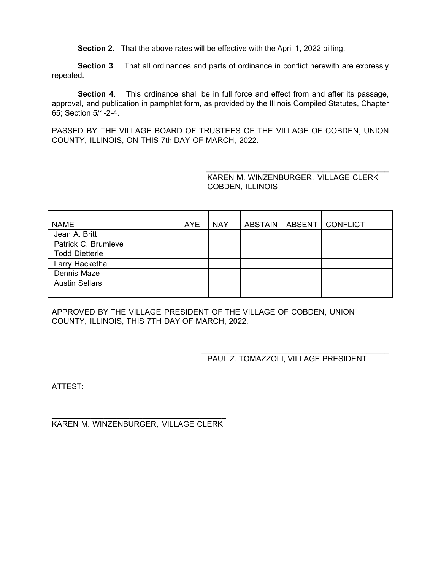**Section 2.** That the above rates will be effective with the April 1, 2022 billing.

**Section 3**. That all ordinances and parts of ordinance in conflict herewith are expressly repealed.

 **Section 4**. This ordinance shall be in full force and effect from and after its passage, approval, and publication in pamphlet form, as provided by the Illinois Compiled Statutes, Chapter 65; Section 5/1-2-4.

PASSED BY THE VILLAGE BOARD OF TRUSTEES OF THE VILLAGE OF COBDEN, UNION COUNTY, ILLINOIS, ON THIS 7th DAY OF MARCH, 2022.

> $\frac{1}{2}$  ,  $\frac{1}{2}$  ,  $\frac{1}{2}$  ,  $\frac{1}{2}$  ,  $\frac{1}{2}$  ,  $\frac{1}{2}$  ,  $\frac{1}{2}$  ,  $\frac{1}{2}$  ,  $\frac{1}{2}$  ,  $\frac{1}{2}$  ,  $\frac{1}{2}$  ,  $\frac{1}{2}$  ,  $\frac{1}{2}$  ,  $\frac{1}{2}$  ,  $\frac{1}{2}$  ,  $\frac{1}{2}$  ,  $\frac{1}{2}$  ,  $\frac{1}{2}$  ,  $\frac{1$ KAREN M. WINZENBURGER, VILLAGE CLERK COBDEN, ILLINOIS

| <b>NAME</b>           | AYE. | <b>NAY</b> | ABSTAIN   ABSENT | <b>CONFLICT</b> |
|-----------------------|------|------------|------------------|-----------------|
| Jean A. Britt         |      |            |                  |                 |
| Patrick C. Brumleve   |      |            |                  |                 |
| <b>Todd Dietterle</b> |      |            |                  |                 |
| Larry Hackethal       |      |            |                  |                 |
| Dennis Maze           |      |            |                  |                 |
| <b>Austin Sellars</b> |      |            |                  |                 |
|                       |      |            |                  |                 |

APPROVED BY THE VILLAGE PRESIDENT OF THE VILLAGE OF COBDEN, UNION COUNTY, ILLINOIS, THIS 7TH DAY OF MARCH, 2022.

> \_\_\_\_\_\_\_\_\_\_\_\_\_\_\_\_\_\_\_\_\_\_\_\_\_\_\_\_\_\_\_\_\_\_\_\_\_\_\_\_\_\_\_ PAUL Z. TOMAZZOLI, VILLAGE PRESIDENT

ATTEST:

\_\_\_\_\_\_\_\_\_\_\_\_\_\_\_\_\_\_\_\_\_\_\_\_\_\_\_\_\_\_\_\_\_\_\_\_\_\_\_\_ KAREN M. WINZENBURGER, VILLAGE CLERK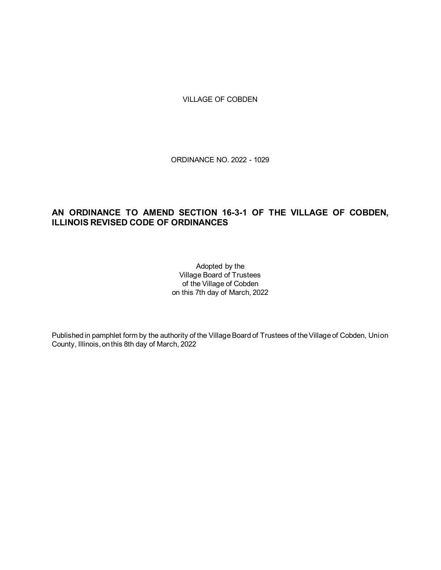VILLAGE OF COBDEN

ORDINANCE NO. 2022 - 1029

# **AN ORDINANCE TO AMEND SECTION 16-3-1 OF THE VILLAGE OF COBDEN, ILLINOIS REVISED CODE OF ORDINANCES**

Adopted by the Village Board of Trustees of the Village of Cobden on this 7th day of March, 2022

Published in pamphlet form by the authority of the Village Board of Trustees of the Village of Cobden, Union County, Illinois, on this 8th day of March, 2022